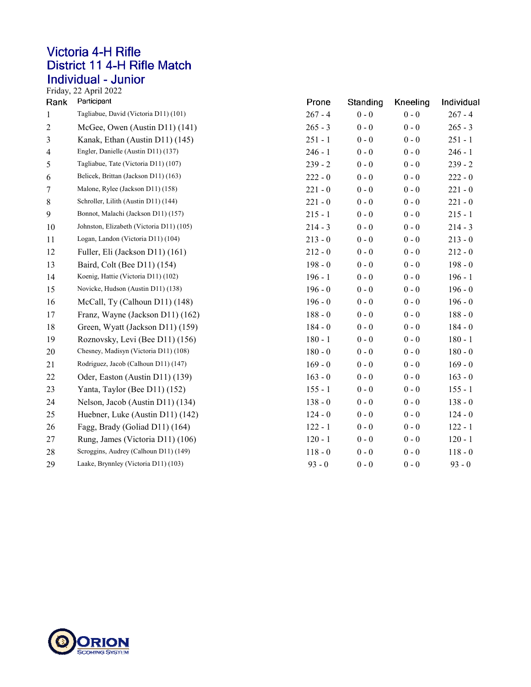## **Victoria 4-H Rifle** District 11 4-H Rifle Match Individual - Junior<br>Friday, 22 April 2022

| Rank             | Participant                              | Prone     | Standing | Kneeling | Individual |
|------------------|------------------------------------------|-----------|----------|----------|------------|
| $\mathbf{1}$     | Tagliabue, David (Victoria D11) (101)    | $267 - 4$ | $0 - 0$  | $0 - 0$  | $267 - 4$  |
| $\overline{c}$   | McGee, Owen (Austin D11) (141)           | $265 - 3$ | $0 - 0$  | $0 - 0$  | $265 - 3$  |
| 3                | Kanak, Ethan (Austin D11) (145)          | $251 - 1$ | $0 - 0$  | $0 - 0$  | $251 - 1$  |
| 4                | Engler, Danielle (Austin D11) (137)      | $246 - 1$ | $0 - 0$  | $0 - 0$  | $246 - 1$  |
| 5                | Tagliabue, Tate (Victoria D11) (107)     | $239 - 2$ | $0 - 0$  | $0 - 0$  | $239 - 2$  |
| 6                | Belicek, Brittan (Jackson D11) (163)     | $222 - 0$ | $0 - 0$  | $0 - 0$  | $222 - 0$  |
| $\boldsymbol{7}$ | Malone, Rylee (Jackson D11) (158)        | $221 - 0$ | $0 - 0$  | $0 - 0$  | $221 - 0$  |
| $8\,$            | Schroller, Lilith (Austin D11) (144)     | $221 - 0$ | $0 - 0$  | $0 - 0$  | $221 - 0$  |
| 9                | Bonnot, Malachi (Jackson D11) (157)      | $215 - 1$ | $0 - 0$  | $0 - 0$  | $215 - 1$  |
| 10               | Johnston, Elizabeth (Victoria D11) (105) | $214 - 3$ | $0 - 0$  | $0 - 0$  | $214 - 3$  |
| 11               | Logan, Landon (Victoria D11) (104)       | $213 - 0$ | $0 - 0$  | $0 - 0$  | $213 - 0$  |
| 12               | Fuller, Eli (Jackson D11) (161)          | $212 - 0$ | $0 - 0$  | $0 - 0$  | $212 - 0$  |
| 13               | Baird, Colt (Bee D11) (154)              | $198 - 0$ | $0 - 0$  | $0 - 0$  | $198 - 0$  |
| 14               | Koenig, Hattie (Victoria D11) (102)      | $196 - 1$ | $0 - 0$  | $0 - 0$  | $196 - 1$  |
| 15               | Novicke, Hudson (Austin D11) (138)       | $196 - 0$ | $0 - 0$  | $0 - 0$  | $196 - 0$  |
| 16               | McCall, Ty (Calhoun D11) (148)           | $196 - 0$ | $0 - 0$  | $0 - 0$  | $196 - 0$  |
| 17               | Franz, Wayne (Jackson D11) (162)         | $188 - 0$ | $0 - 0$  | $0 - 0$  | $188 - 0$  |
| 18               | Green, Wyatt (Jackson D11) (159)         | $184 - 0$ | $0 - 0$  | $0 - 0$  | $184 - 0$  |
| 19               | Roznovsky, Levi (Bee D11) (156)          | $180 - 1$ | $0 - 0$  | $0 - 0$  | $180 - 1$  |
| 20               | Chesney, Madisyn (Victoria D11) (108)    | $180 - 0$ | $0 - 0$  | $0 - 0$  | $180 - 0$  |
| 21               | Rodriguez, Jacob (Calhoun D11) (147)     | $169 - 0$ | $0 - 0$  | $0 - 0$  | $169 - 0$  |
| 22               | Oder, Easton (Austin D11) (139)          | $163 - 0$ | $0 - 0$  | $0 - 0$  | $163 - 0$  |
| 23               | Yanta, Taylor (Bee D11) (152)            | $155 - 1$ | $0 - 0$  | $0 - 0$  | $155 - 1$  |
| 24               | Nelson, Jacob (Austin D11) (134)         | $138 - 0$ | $0 - 0$  | $0 - 0$  | $138 - 0$  |
| 25               | Huebner, Luke (Austin D11) (142)         | $124 - 0$ | $0 - 0$  | $0 - 0$  | $124 - 0$  |
| 26               | Fagg, Brady (Goliad D11) (164)           | $122 - 1$ | $0 - 0$  | $0 - 0$  | $122 - 1$  |
| 27               | Rung, James (Victoria D11) (106)         | $120 - 1$ | $0 - 0$  | $0 - 0$  | $120 - 1$  |
| $28\,$           | Scroggins, Audrey (Calhoun D11) (149)    | $118 - 0$ | $0 - 0$  | $0 - 0$  | $118 - 0$  |
| 29               | Laake, Brynnley (Victoria D11) (103)     | $93 - 0$  | $0 - 0$  | $0 - 0$  | $93 - 0$   |

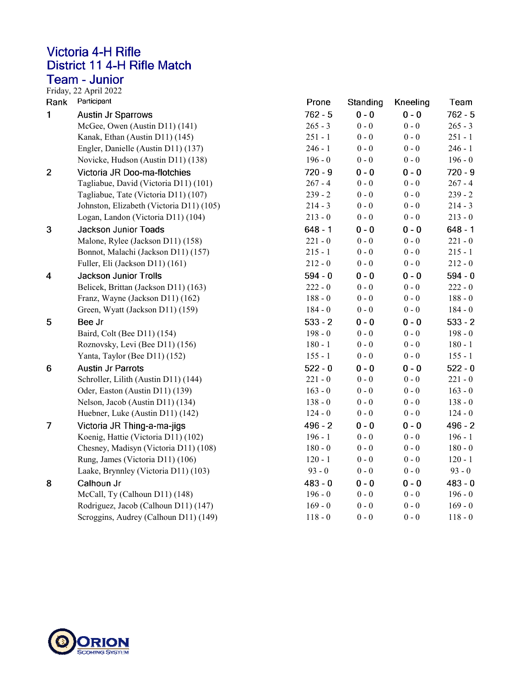#### **Victoria 4-H Rifle** District 11 4-H Rifle Match **Team - Junior**

Friday, 22 April 2022<br>Rank Participant

| Rank                    | Participant                              | Prone     | Standing  | Kneeling | Team      |
|-------------------------|------------------------------------------|-----------|-----------|----------|-----------|
| 1                       | <b>Austin Jr Sparrows</b>                | $762 - 5$ | $0 - 0$   | $0 - 0$  | $762 - 5$ |
|                         | McGee, Owen (Austin D11) (141)           | $265 - 3$ | $0 - 0$   | $0 - 0$  | $265 - 3$ |
|                         | Kanak, Ethan (Austin D11) (145)          | $251 - 1$ | $0 - 0$   | $0 - 0$  | $251 - 1$ |
|                         | Engler, Danielle (Austin D11) (137)      | $246 - 1$ | $0$ - $0$ | $0 - 0$  | $246 - 1$ |
|                         | Novicke, Hudson (Austin D11) (138)       | $196 - 0$ | $0 - 0$   | $0 - 0$  | $196 - 0$ |
| $\overline{2}$          | Victoria JR Doo-ma-flotchies             | $720 - 9$ | $0 - 0$   | $0 - 0$  | $720 - 9$ |
|                         | Tagliabue, David (Victoria D11) (101)    | $267 - 4$ | $0 - 0$   | $0 - 0$  | $267 - 4$ |
|                         | Tagliabue, Tate (Victoria D11) (107)     | $239 - 2$ | $0 - 0$   | $0 - 0$  | $239 - 2$ |
|                         | Johnston, Elizabeth (Victoria D11) (105) | $214 - 3$ | $0 - 0$   | $0 - 0$  | $214 - 3$ |
|                         | Logan, Landon (Victoria D11) (104)       | $213 - 0$ | $0 - 0$   | $0 - 0$  | $213 - 0$ |
| $\boldsymbol{3}$        | <b>Jackson Junior Toads</b>              | $648 - 1$ | $0 - 0$   | $0 - 0$  | $648 - 1$ |
|                         | Malone, Rylee (Jackson D11) (158)        | $221 - 0$ | $0 - 0$   | $0 - 0$  | $221 - 0$ |
|                         | Bonnot, Malachi (Jackson D11) (157)      | $215 - 1$ | $0 - 0$   | $0 - 0$  | $215 - 1$ |
|                         | Fuller, Eli (Jackson D11) (161)          | $212 - 0$ | $0 - 0$   | $0 - 0$  | $212 - 0$ |
| $\overline{\mathbf{4}}$ | Jackson Junior Trolls                    | $594 - 0$ | $0 - 0$   | $0 - 0$  | $594 - 0$ |
|                         | Belicek, Brittan (Jackson D11) (163)     | $222 - 0$ | $0 - 0$   | $0 - 0$  | $222 - 0$ |
|                         | Franz, Wayne (Jackson D11) (162)         | $188 - 0$ | $0 - 0$   | $0 - 0$  | $188 - 0$ |
|                         | Green, Wyatt (Jackson D11) (159)         | $184 - 0$ | $0 - 0$   | $0 - 0$  | $184 - 0$ |
| 5                       | Bee Jr                                   | $533 - 2$ | $0 - 0$   | $0 - 0$  | $533 - 2$ |
|                         | Baird, Colt (Bee D11) (154)              | $198 - 0$ | $0 - 0$   | $0 - 0$  | $198 - 0$ |
|                         | Roznovsky, Levi (Bee D11) (156)          | $180 - 1$ | $0 - 0$   | $0 - 0$  | $180 - 1$ |
|                         | Yanta, Taylor (Bee D11) (152)            | $155 - 1$ | $0$ - $0$ | $0 - 0$  | $155 - 1$ |
| 6                       | <b>Austin Jr Parrots</b>                 | $522 - 0$ | $0 - 0$   | $0 - 0$  | $522 - 0$ |
|                         | Schroller, Lilith (Austin D11) (144)     | $221 - 0$ | $0 - 0$   | $0 - 0$  | $221 - 0$ |
|                         | Oder, Easton (Austin D11) (139)          | $163 - 0$ | $0 - 0$   | $0 - 0$  | $163 - 0$ |
|                         | Nelson, Jacob (Austin D11) (134)         | $138 - 0$ | $0 - 0$   | $0 - 0$  | $138 - 0$ |
|                         | Huebner, Luke (Austin D11) (142)         | $124 - 0$ | $0$ - $0$ | $0 - 0$  | $124 - 0$ |
| 7                       | Victoria JR Thing-a-ma-jigs              | $496 - 2$ | $0 - 0$   | $0 - 0$  | $496 - 2$ |
|                         | Koenig, Hattie (Victoria D11) (102)      | $196 - 1$ | $0 - 0$   | $0 - 0$  | $196 - 1$ |
|                         | Chesney, Madisyn (Victoria D11) (108)    | $180 - 0$ | $0 - 0$   | $0 - 0$  | $180 - 0$ |
|                         | Rung, James (Victoria D11) (106)         | $120 - 1$ | $0 - 0$   | $0 - 0$  | $120 - 1$ |
|                         | Laake, Brynnley (Victoria D11) (103)     | $93 - 0$  | $0 - 0$   | $0 - 0$  | $93 - 0$  |
| 8                       | Calhoun Jr                               | $483 - 0$ | $0 - 0$   | $0 - 0$  | $483 - 0$ |
|                         | McCall, Ty (Calhoun D11) (148)           | $196 - 0$ | $0 - 0$   | $0 - 0$  | $196 - 0$ |
|                         | Rodriguez, Jacob (Calhoun D11) (147)     | $169 - 0$ | $0 - 0$   | $0 - 0$  | $169 - 0$ |
|                         | Scroggins, Audrey (Calhoun D11) (149)    | $118 - 0$ | $0 - 0$   | $0 - 0$  | $118 - 0$ |

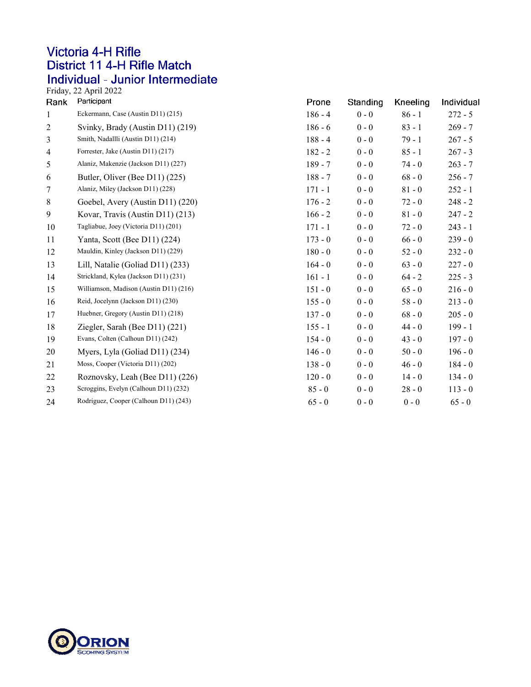### **Victoria 4-H Rifle** District 11 4-H Rifle Match Individual - Junior Intermediate<br>Friday, 22 April 2022

| Rank           | Participant                            | Prone     | Standing | Kneeling | Individual |
|----------------|----------------------------------------|-----------|----------|----------|------------|
| $\mathbf{1}$   | Eckermann, Case (Austin D11) (215)     | $186 - 4$ | $0 - 0$  | $86 - 1$ | $272 - 5$  |
| $\overline{c}$ | Svinky, Brady (Austin D11) (219)       | $186 - 6$ | $0 - 0$  | $83 - 1$ | $269 - 7$  |
| 3              | Smith, Nadallli (Austin D11) (214)     | $188 - 4$ | $0 - 0$  | $79 - 1$ | $267 - 5$  |
| 4              | Forrester, Jake (Austin D11) (217)     | $182 - 2$ | $0 - 0$  | $85 - 1$ | $267 - 3$  |
| 5              | Alaniz, Makenzie (Jackson D11) (227)   | $189 - 7$ | $0 - 0$  | $74 - 0$ | $263 - 7$  |
| 6              | Butler, Oliver (Bee D11) (225)         | $188 - 7$ | $0 - 0$  | $68 - 0$ | $256 - 7$  |
| 7              | Alaniz, Miley (Jackson D11) (228)      | $171 - 1$ | $0 - 0$  | $81 - 0$ | $252 - 1$  |
| $\,8\,$        | Goebel, Avery (Austin D11) (220)       | $176 - 2$ | $0 - 0$  | $72 - 0$ | $248 - 2$  |
| 9              | Kovar, Travis (Austin D11) (213)       | $166 - 2$ | $0 - 0$  | $81 - 0$ | $247 - 2$  |
| 10             | Tagliabue, Joey (Victoria D11) (201)   | $171 - 1$ | $0 - 0$  | $72 - 0$ | $243 - 1$  |
| 11             | Yanta, Scott (Bee D11) (224)           | $173 - 0$ | $0 - 0$  | $66 - 0$ | $239 - 0$  |
| 12             | Mauldin, Kinley (Jackson D11) (229)    | $180 - 0$ | $0 - 0$  | $52 - 0$ | $232 - 0$  |
| 13             | Lill, Natalie (Goliad D11) (233)       | $164 - 0$ | $0 - 0$  | $63 - 0$ | $227 - 0$  |
| 14             | Strickland, Kylea (Jackson D11) (231)  | $161 - 1$ | $0 - 0$  | $64 - 2$ | $225 - 3$  |
| 15             | Williamson, Madison (Austin D11) (216) | $151 - 0$ | $0 - 0$  | $65 - 0$ | $216 - 0$  |
| 16             | Reid, Jocelynn (Jackson D11) (230)     | $155 - 0$ | $0 - 0$  | $58 - 0$ | $213 - 0$  |
| 17             | Huebner, Gregory (Austin D11) (218)    | $137 - 0$ | $0 - 0$  | $68 - 0$ | $205 - 0$  |
| 18             | Ziegler, Sarah (Bee $D11$ ) (221)      | $155 - 1$ | $0 - 0$  | $44 - 0$ | $199 - 1$  |
| 19             | Evans, Colten (Calhoun D11) (242)      | $154 - 0$ | $0 - 0$  | $43 - 0$ | $197 - 0$  |
| 20             | Myers, Lyla (Goliad D11) (234)         | $146 - 0$ | $0 - 0$  | $50 - 0$ | $196 - 0$  |
| 21             | Moss, Cooper (Victoria D11) (202)      | $138 - 0$ | $0 - 0$  | $46 - 0$ | $184 - 0$  |
| 22             | Roznovsky, Leah (Bee D11) (226)        | $120 - 0$ | $0 - 0$  | $14 - 0$ | $134 - 0$  |
| 23             | Scroggins, Evelyn (Calhoun D11) (232)  | $85 - 0$  | $0 - 0$  | $28 - 0$ | $113 - 0$  |
| 24             | Rodriguez, Cooper (Calhoun D11) (243)  | $65 - 0$  | $0 - 0$  | $0 - 0$  | $65 - 0$   |

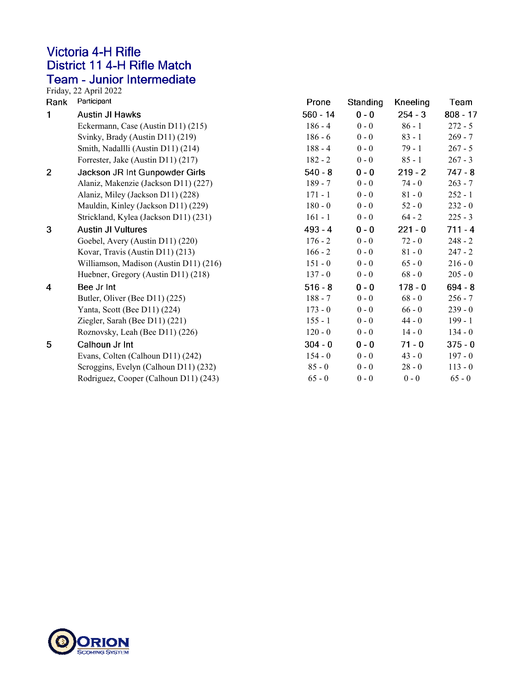#### **Victoria 4-H Rifle** District 11 4-H Rifle Match Team - Junior Intermediate

Friday, 22 April 2022<br>Rank Participant

| Rank           | Participant                            | Prone      | Standing | Kneeling  | Team       |
|----------------|----------------------------------------|------------|----------|-----------|------------|
| 1              | <b>Austin JI Hawks</b>                 | $560 - 14$ | $0 - 0$  | $254 - 3$ | $808 - 17$ |
|                | Eckermann, Case (Austin D11) (215)     | $186 - 4$  | $0 - 0$  | $86 - 1$  | $272 - 5$  |
|                | Svinky, Brady (Austin D11) (219)       | $186 - 6$  | $0 - 0$  | $83 - 1$  | $269 - 7$  |
|                | Smith, Nadallli (Austin D11) (214)     | $188 - 4$  | $0 - 0$  | $79 - 1$  | $267 - 5$  |
|                | Forrester, Jake (Austin D11) (217)     | $182 - 2$  | $0 - 0$  | $85 - 1$  | $267 - 3$  |
| $\overline{2}$ | Jackson JR Int Gunpowder Girls         | $540 - 8$  | $0 - 0$  | $219 - 2$ | $747 - 8$  |
|                | Alaniz, Makenzie (Jackson D11) (227)   | $189 - 7$  | $0 - 0$  | $74 - 0$  | $263 - 7$  |
|                | Alaniz, Miley (Jackson D11) (228)      | $171 - 1$  | $0 - 0$  | $81 - 0$  | $252 - 1$  |
|                | Mauldin, Kinley (Jackson D11) (229)    | $180 - 0$  | $0 - 0$  | $52 - 0$  | $232 - 0$  |
|                | Strickland, Kylea (Jackson D11) (231)  | $161 - 1$  | $0 - 0$  | $64 - 2$  | $225 - 3$  |
| 3              | <b>Austin JI Vultures</b>              | $493 - 4$  | $0 - 0$  | $221 - 0$ | $711 - 4$  |
|                | Goebel, Avery (Austin D11) (220)       | $176 - 2$  | $0 - 0$  | $72 - 0$  | $248 - 2$  |
|                | Kovar, Travis (Austin D11) (213)       | $166 - 2$  | $0 - 0$  | $81 - 0$  | $247 - 2$  |
|                | Williamson, Madison (Austin D11) (216) | $151 - 0$  | $0 - 0$  | $65 - 0$  | $216 - 0$  |
|                | Huebner, Gregory (Austin D11) (218)    | $137 - 0$  | $0 - 0$  | $68 - 0$  | $205 - 0$  |
| 4              | Bee Jr Int                             | $516 - 8$  | $0 - 0$  | $178 - 0$ | $694 - 8$  |
|                | Butler, Oliver (Bee D11) (225)         | $188 - 7$  | $0 - 0$  | $68 - 0$  | $256 - 7$  |
|                | Yanta, Scott (Bee D11) (224)           | $173 - 0$  | $0 - 0$  | $66 - 0$  | $239 - 0$  |
|                | Ziegler, Sarah (Bee D11) (221)         | $155 - 1$  | $0 - 0$  | $44 - 0$  | $199 - 1$  |
|                | Roznovsky, Leah (Bee D11) (226)        | $120 - 0$  | $0 - 0$  | $14 - 0$  | $134 - 0$  |
| 5              | Calhoun Jr Int                         | $304 - 0$  | $0 - 0$  | $71 - 0$  | $375 - 0$  |
|                | Evans, Colten (Calhoun D11) (242)      | $154 - 0$  | $0 - 0$  | $43 - 0$  | $197 - 0$  |
|                | Scroggins, Evelyn (Calhoun D11) (232)  | $85 - 0$   | $0 - 0$  | $28 - 0$  | $113 - 0$  |
|                | Rodriguez, Cooper (Calhoun D11) (243)  | $65 - 0$   | $0 - 0$  | $0 - 0$   | $65 - 0$   |

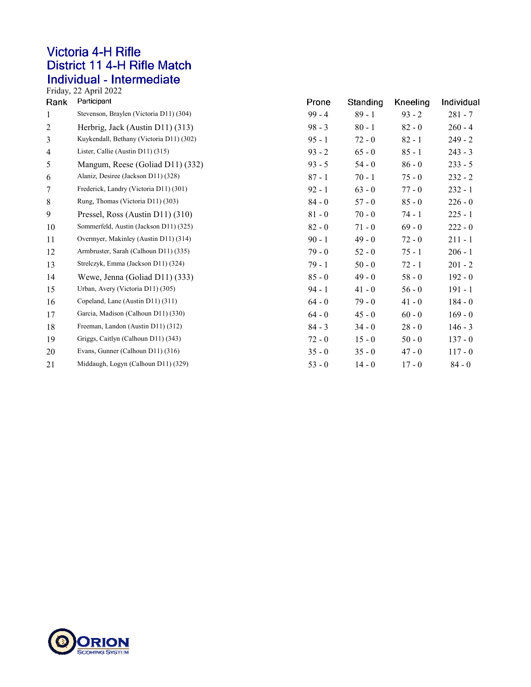### **Victoria 4-H Rifle** District 11 4-H Rifle Match Individual - Intermediate<br>Friday, 22 April 2022

| Rank | Participant                              | Prone    | Standing | Kneeling | Individual |
|------|------------------------------------------|----------|----------|----------|------------|
| 1    | Stevenson, Braylen (Victoria D11) (304)  | $99 - 4$ | $89 - 1$ | $93 - 2$ | $281 - 7$  |
| 2    | Herbrig, Jack (Austin D11) (313)         | $98 - 3$ | $80 - 1$ | $82 - 0$ | $260 - 4$  |
| 3    | Kuykendall, Bethany (Victoria D11) (302) | $95 - 1$ | $72 - 0$ | $82 - 1$ | $249 - 2$  |
| 4    | Lister, Callie (Austin D11) (315)        | $93 - 2$ | $65 - 0$ | $85 - 1$ | $243 - 3$  |
| 5    | Mangum, Reese (Goliad D11) (332)         | $93 - 5$ | $54 - 0$ | $86 - 0$ | $233 - 5$  |
| 6    | Alaniz, Desiree (Jackson D11) (328)      | $87 - 1$ | $70 - 1$ | $75 - 0$ | $232 - 2$  |
| 7    | Frederick, Landry (Victoria D11) (301)   | $92 - 1$ | $63 - 0$ | $77 - 0$ | $232 - 1$  |
| 8    | Rung, Thomas (Victoria D11) (303)        | $84 - 0$ | $57 - 0$ | $85 - 0$ | $226 - 0$  |
| 9    | Pressel, Ross (Austin D11) (310)         | $81 - 0$ | $70 - 0$ | 74 - 1   | $225 - 1$  |
| 10   | Sommerfeld, Austin (Jackson D11) (325)   | $82 - 0$ | $71 - 0$ | $69 - 0$ | $222 - 0$  |
| 11   | Overmyer, Makinley (Austin D11) (314)    | $90 - 1$ | $49 - 0$ | $72 - 0$ | $211 - 1$  |
| 12   | Armbruster, Sarah (Calhoun D11) (335)    | $79 - 0$ | $52 - 0$ | $75 - 1$ | $206 - 1$  |
| 13   | Strelczyk, Emma (Jackson D11) (324)      | $79 - 1$ | $50 - 0$ | $72 - 1$ | $201 - 2$  |
| 14   | Wewe, Jenna (Goliad D11) (333)           | $85 - 0$ | $49 - 0$ | $58 - 0$ | $192 - 0$  |
| 15   | Urban, Avery (Victoria D11) (305)        | $94 - 1$ | $41 - 0$ | $56 - 0$ | $191 - 1$  |
| 16   | Copeland, Lane (Austin D11) (311)        | $64 - 0$ | $79 - 0$ | $41 - 0$ | $184 - 0$  |
| 17   | Garcia, Madison (Calhoun D11) (330)      | $64 - 0$ | $45 - 0$ | $60 - 0$ | $169 - 0$  |
| 18   | Freeman, Landon (Austin D11) (312)       | $84 - 3$ | $34 - 0$ | $28 - 0$ | $146 - 3$  |
| 19   | Griggs, Caitlyn (Calhoun D11) (343)      | $72 - 0$ | $15 - 0$ | $50 - 0$ | $137 - 0$  |
| 20   | Evans, Gunner (Calhoun D11) (316)        | $35 - 0$ | $35 - 0$ | $47 - 0$ | $117 - 0$  |
| 21   | Middaugh, Logyn (Calhoun D11) (329)      | $53 - 0$ | $14 - 0$ | $17 - 0$ | $84 - 0$   |
|      |                                          |          |          |          |            |

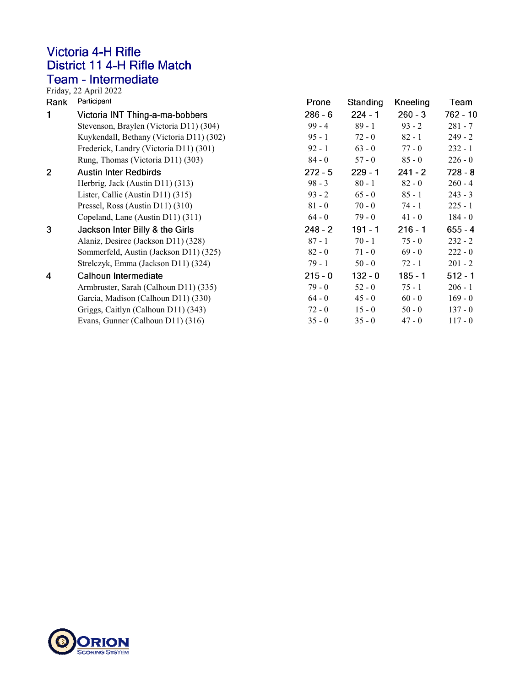# **Victoria 4-H Rifle** District 11 4-H Rifle Match Team - Intermediate<br>Friday, 22 April 2022<br>Pank - Participant

| Rank           | Participant                              | Prone     | Standing  | Kneeling  | Team      |
|----------------|------------------------------------------|-----------|-----------|-----------|-----------|
|                | Victoria INT Thing-a-ma-bobbers          | $286 - 6$ | $224 - 1$ | $260 - 3$ | 762 - 10  |
|                | Stevenson, Braylen (Victoria D11) (304)  | $99 - 4$  | $89 - 1$  | $93 - 2$  | $281 - 7$ |
|                | Kuykendall, Bethany (Victoria D11) (302) | $95 - 1$  | $72 - 0$  | $82 - 1$  | $249 - 2$ |
|                | Frederick, Landry (Victoria D11) (301)   | $92 - 1$  | $63 - 0$  | $77 - 0$  | $232 - 1$ |
|                | Rung, Thomas (Victoria D11) (303)        | $84 - 0$  | $57 - 0$  | $85 - 0$  | $226 - 0$ |
| $\overline{2}$ | <b>Austin Inter Redbirds</b>             | $272 - 5$ | $229 - 1$ | $241 - 2$ | $728 - 8$ |
|                | Herbrig, Jack (Austin D11) (313)         | $98 - 3$  | $80 - 1$  | $82 - 0$  | $260 - 4$ |
|                | Lister, Callie (Austin D11) (315)        | $93 - 2$  | $65 - 0$  | $85 - 1$  | $243 - 3$ |
|                | Pressel, Ross (Austin D11) (310)         | $81 - 0$  | $70 - 0$  | $74 - 1$  | $225 - 1$ |
|                | Copeland, Lane (Austin D11) (311)        | $64 - 0$  | $79 - 0$  | $41 - 0$  | 184 - 0   |
| 3              | Jackson Inter Billy & the Girls          | $248 - 2$ | $191 - 1$ | $216 - 1$ | $655 - 4$ |
|                | Alaniz, Desiree (Jackson D11) (328)      | $87 - 1$  | $70 - 1$  | $75 - 0$  | $232 - 2$ |
|                | Sommerfeld, Austin (Jackson D11) (325)   | $82 - 0$  | $71 - 0$  | $69 - 0$  | $222 - 0$ |
|                | Strelczyk, Emma (Jackson D11) (324)      | $79 - 1$  | $50 - 0$  | $72 - 1$  | $201 - 2$ |
| 4              | Calhoun Intermediate                     | $215 - 0$ | $132 - 0$ | $185 - 1$ | $512 - 1$ |
|                | Armbruster, Sarah (Calhoun D11) (335)    | $79 - 0$  | $52 - 0$  | $75 - 1$  | $206 - 1$ |
|                | Garcia, Madison (Calhoun D11) (330)      | $64 - 0$  | $45 - 0$  | $60 - 0$  | $169 - 0$ |
|                | Griggs, Caitlyn (Calhoun D11) (343)      | $72 - 0$  | $15 - 0$  | $50 - 0$  | $137 - 0$ |
|                | Evans, Gunner (Calhoun D11) (316)        | $35 - 0$  | $35 - 0$  | $47 - 0$  | $117 - 0$ |
|                |                                          |           |           |           |           |

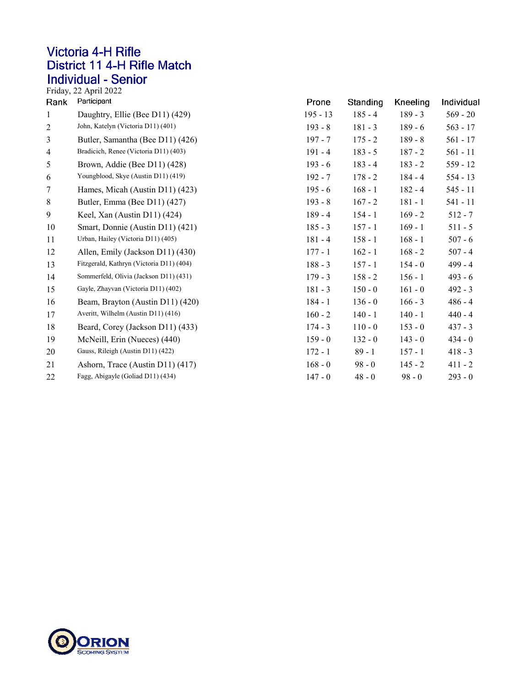### **Victoria 4-H Rifle** District 11 4-H Rifle Match Individual - Senior<br>Friday, 22 April 2022

| Rank           | Participant                              | Prone      | <b>Standing</b> | <b>Kneeling</b> | Individual |
|----------------|------------------------------------------|------------|-----------------|-----------------|------------|
| $\mathbf{1}$   | Daughtry, Ellie (Bee D11) (429)          | $195 - 13$ | $185 - 4$       | $189 - 3$       | $569 - 20$ |
| $\overline{2}$ | John, Katelyn (Victoria D11) (401)       | $193 - 8$  | $181 - 3$       | $189 - 6$       | $563 - 17$ |
| 3              | Butler, Samantha (Bee D11) (426)         | $197 - 7$  | $175 - 2$       | $189 - 8$       | $561 - 17$ |
| $\overline{4}$ | Bradicich, Renee (Victoria D11) (403)    | $191 - 4$  | $183 - 5$       | $187 - 2$       | $561 - 11$ |
| 5              | Brown, Addie (Bee D11) (428)             | $193 - 6$  | $183 - 4$       | $183 - 2$       | $559 - 12$ |
| 6              | Youngblood, Skye (Austin D11) (419)      | $192 - 7$  | $178 - 2$       | $184 - 4$       | $554 - 13$ |
| 7              | Hames, Micah (Austin D11) (423)          | $195 - 6$  | $168 - 1$       | $182 - 4$       | $545 - 11$ |
| $\,8\,$        | Butler, Emma (Bee D11) (427)             | $193 - 8$  | $167 - 2$       | $181 - 1$       | 541 - 11   |
| 9              | Keel, Xan (Austin D11) (424)             | $189 - 4$  | $154 - 1$       | $169 - 2$       | $512 - 7$  |
| 10             | Smart, Donnie (Austin D11) (421)         | $185 - 3$  | $157 - 1$       | $169 - 1$       | $511 - 5$  |
| 11             | Urban, Hailey (Victoria D11) (405)       | $181 - 4$  | $158 - 1$       | $168 - 1$       | $507 - 6$  |
| 12             | Allen, Emily (Jackson D11) (430)         | $177 - 1$  | $162 - 1$       | $168 - 2$       | $507 - 4$  |
| 13             | Fitzgerald, Kathryn (Victoria D11) (404) | $188 - 3$  | $157 - 1$       | $154 - 0$       | $499 - 4$  |
| 14             | Sommerfeld, Olivia (Jackson D11) (431)   | $179 - 3$  | $158 - 2$       | $156 - 1$       | $493 - 6$  |
| 15             | Gayle, Zhayvan (Victoria D11) (402)      | $181 - 3$  | $150 - 0$       | $161 - 0$       | $492 - 3$  |
| 16             | Beam, Brayton (Austin D11) (420)         | $184 - 1$  | $136 - 0$       | $166 - 3$       | $486 - 4$  |
| 17             | Averitt, Wilhelm (Austin D11) (416)      | $160 - 2$  | $140 - 1$       | $140 - 1$       | $440 - 4$  |
| 18             | Beard, Corey (Jackson D11) (433)         | $174 - 3$  | $110 - 0$       | $153 - 0$       | $437 - 3$  |
| 19             | McNeill, Erin (Nueces) (440)             | $159 - 0$  | $132 - 0$       | $143 - 0$       | $434 - 0$  |
| 20             | Gauss, Rileigh (Austin D11) (422)        | $172 - 1$  | $89 - 1$        | $157 - 1$       | $418 - 3$  |
| 21             | Ashorn, Trace (Austin D11) (417)         | $168 - 0$  | $98 - 0$        | $145 - 2$       | $411 - 2$  |
| 22             | Fagg, Abigayle (Goliad D11) (434)        | $147 - 0$  | $48 - 0$        | $98 - 0$        | $293 - 0$  |